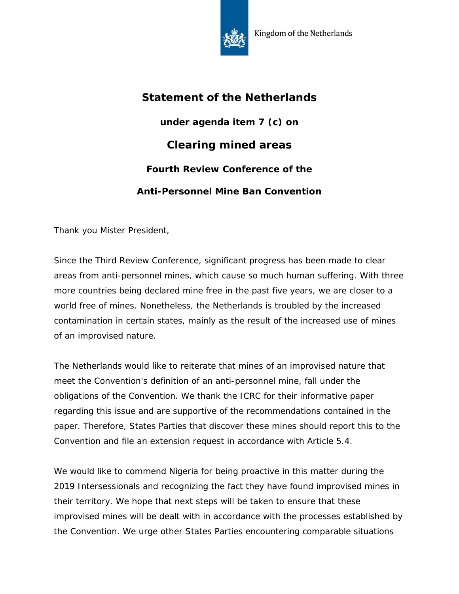

## **Statement of the Netherlands**

**under agenda item 7 (c) on Clearing mined areas Fourth Review Conference of the Anti-Personnel Mine Ban Convention**

Thank you Mister President,

Since the Third Review Conference, significant progress has been made to clear areas from anti-personnel mines, which cause so much human suffering. With three more countries being declared mine free in the past five years, we are closer to a world free of mines. Nonetheless, the Netherlands is troubled by the increased contamination in certain states, mainly as the result of the increased use of mines of an improvised nature.

The Netherlands would like to reiterate that mines of an improvised nature that meet the Convention's definition of an anti-personnel mine, fall under the obligations of the Convention. We thank the ICRC for their informative paper regarding this issue and are supportive of the recommendations contained in the paper. Therefore, States Parties that discover these mines should report this to the Convention and file an extension request in accordance with Article 5.4.

We would like to commend Nigeria for being proactive in this matter during the 2019 Intersessionals and recognizing the fact they have found improvised mines in their territory. We hope that next steps will be taken to ensure that these improvised mines will be dealt with in accordance with the processes established by the Convention. We urge other States Parties encountering comparable situations